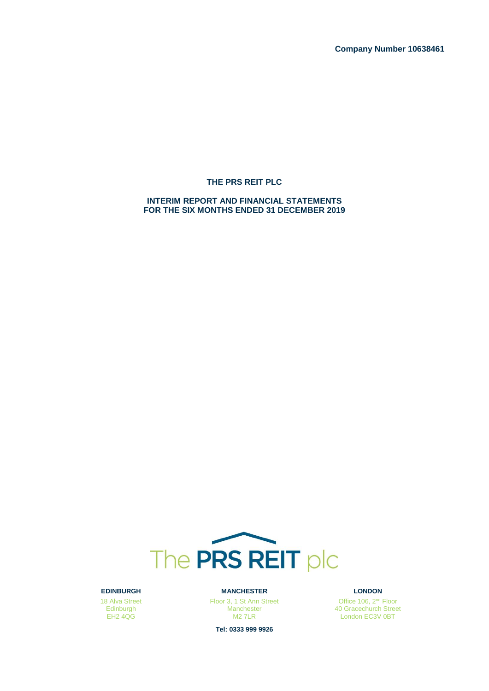**Company Number 10638461**

### **THE PRS REIT PLC**

**INTERIM REPORT AND FINANCIAL STATEMENTS FOR THE SIX MONTHS ENDED 31 DECEMBER 2019**



**EDINBURGH**

18 Alva Street **Edinburgh** EH<sub>2</sub> 4QG

**MANCHESTER** Floor 3, 1 St Ann Street Manchester M2 7LR

**Tel: 0333 999 9926**

#### **LONDON**

Office 106, 2<sup>nd</sup> Floor 40 Gracechurch Street London EC3V 0BT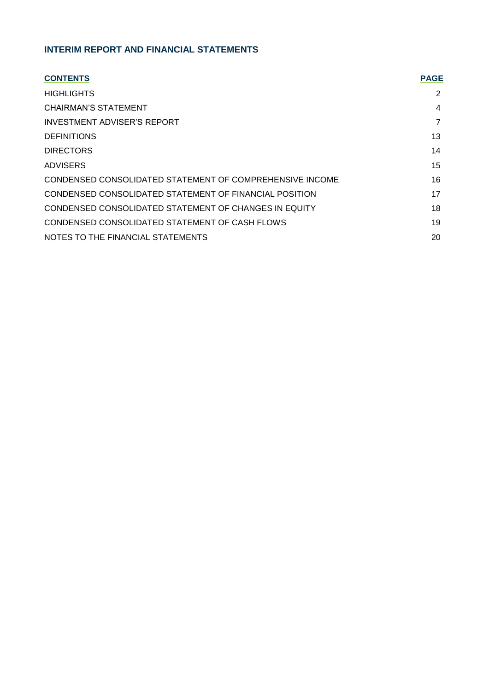# **INTERIM REPORT AND FINANCIAL STATEMENTS**

| <b>CONTENTS</b>                                          | <b>PAGE</b>    |
|----------------------------------------------------------|----------------|
| <b>HIGHLIGHTS</b>                                        | 2              |
| CHAIRMAN'S STATEMENT                                     | $\overline{4}$ |
| INVESTMENT ADVISER'S REPORT                              | $\overline{7}$ |
| <b>DEFINITIONS</b>                                       | 13             |
| <b>DIRECTORS</b>                                         | 14             |
| <b>ADVISERS</b>                                          | 15             |
| CONDENSED CONSOLIDATED STATEMENT OF COMPREHENSIVE INCOME | 16             |
| CONDENSED CONSOLIDATED STATEMENT OF FINANCIAL POSITION   | 17             |
| CONDENSED CONSOLIDATED STATEMENT OF CHANGES IN EQUITY    | 18             |
| CONDENSED CONSOLIDATED STATEMENT OF CASH FLOWS           | 19             |
| NOTES TO THE FINANCIAL STATEMENTS                        | 20             |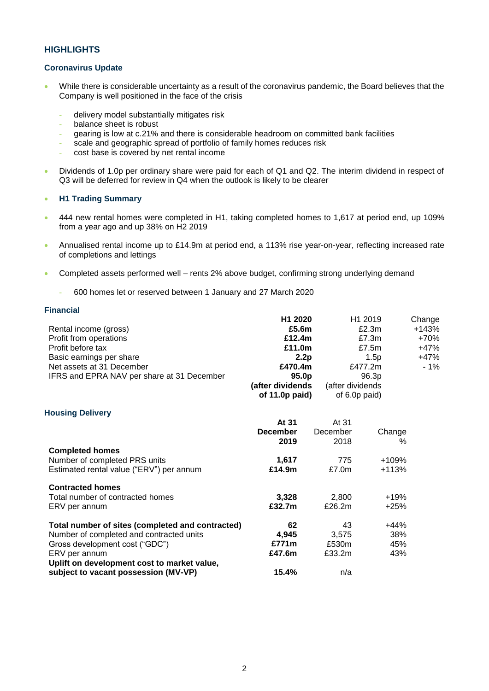## <span id="page-2-0"></span>**HIGHLIGHTS**

## **Coronavirus Update**

- While there is considerable uncertainty as a result of the coronavirus pandemic, the Board believes that the Company is well positioned in the face of the crisis
	- delivery model substantially mitigates risk
	- balance sheet is robust
	- gearing is low at c.21% and there is considerable headroom on committed bank facilities
	- scale and geographic spread of portfolio of family homes reduces risk
	- cost base is covered by net rental income
- Dividends of 1.0p per ordinary share were paid for each of Q1 and Q2. The interim dividend in respect of Q3 will be deferred for review in Q4 when the outlook is likely to be clearer

### **H1 Trading Summary**

- 444 new rental homes were completed in H1, taking completed homes to 1,617 at period end, up 109% from a year ago and up 38% on H2 2019
- Annualised rental income up to £14.9m at period end, a 113% rise year-on-year, reflecting increased rate of completions and lettings
- Completed assets performed well rents 2% above budget, confirming strong underlying demand
	- 600 homes let or reserved between 1 January and 27 March 2020

### **Financial**

|                                                  | H1 2020           |                  | H1 2019 | Change |
|--------------------------------------------------|-------------------|------------------|---------|--------|
| Rental income (gross)                            | £5.6m             |                  | £2.3m   | +143%  |
| Profit from operations                           | £12.4m            |                  | £7.3m   | $+70%$ |
| Profit before tax                                | £11.0m            |                  | £7.5m   | $+47%$ |
| Basic earnings per share                         | 2.2p              |                  | 1.5p    | $+47%$ |
| Net assets at 31 December                        | £470.4m           |                  | £477.2m | - 1%   |
| IFRS and EPRA NAV per share at 31 December       | 95.0 <sub>p</sub> |                  | 96.3p   |        |
|                                                  | (after dividends  | (after dividends |         |        |
|                                                  | of 11.0p paid)    | of 6.0p paid)    |         |        |
| <b>Housing Delivery</b>                          |                   |                  |         |        |
|                                                  | At 31             | At 31            |         |        |
|                                                  | <b>December</b>   | December         | Change  |        |
|                                                  | 2019              | 2018             | %       |        |
| <b>Completed homes</b>                           |                   |                  |         |        |
| Number of completed PRS units                    | 1,617             | 775              | +109%   |        |
| Estimated rental value ("ERV") per annum         | £14.9m            | £7.0m            | $+113%$ |        |
| <b>Contracted homes</b>                          |                   |                  |         |        |
| Total number of contracted homes                 | 3,328             | 2,800            | $+19%$  |        |
| ERV per annum                                    | £32.7m            | £26.2m           | $+25%$  |        |
| Total number of sites (completed and contracted) | 62                | 43               | $+44%$  |        |
| Number of completed and contracted units         | 4,945             | 3,575            | 38%     |        |
| Gross development cost ("GDC")                   | £771m             | £530m            | 45%     |        |
| ERV per annum                                    | £47.6m            | £33.2m           | 43%     |        |
| Uplift on development cost to market value,      |                   |                  |         |        |
| subject to vacant possession (MV-VP)             | 15.4%             | n/a              |         |        |
|                                                  |                   |                  |         |        |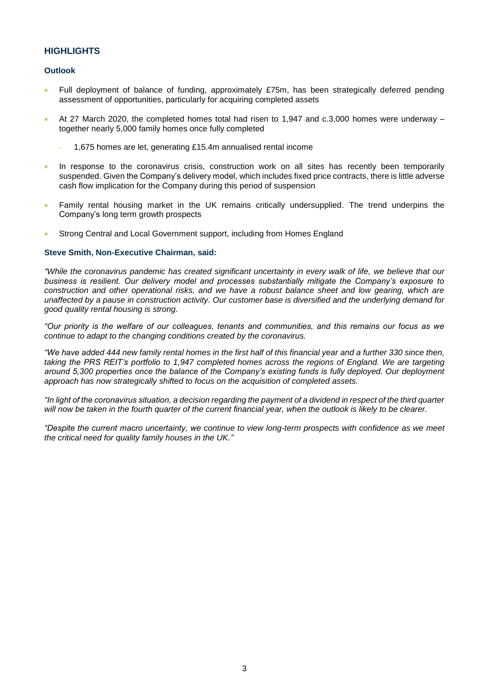## **HIGHLIGHTS**

## **Outlook**

- Full deployment of balance of funding, approximately £75m, has been strategically deferred pending assessment of opportunities, particularly for acquiring completed assets
- At 27 March 2020, the completed homes total had risen to 1,947 and c.3,000 homes were underway together nearly 5,000 family homes once fully completed
	- 1,675 homes are let, generating £15.4m annualised rental income
- In response to the coronavirus crisis, construction work on all sites has recently been temporarily suspended. Given the Company's delivery model, which includes fixed price contracts, there is little adverse cash flow implication for the Company during this period of suspension
- Family rental housing market in the UK remains critically undersupplied. The trend underpins the Company's long term growth prospects
- Strong Central and Local Government support, including from Homes England

## **Steve Smith, Non-Executive Chairman, said:**

*"While the coronavirus pandemic has created significant uncertainty in every walk of life, we believe that our business is resilient. Our delivery model and processes substantially mitigate the Company's exposure to construction and other operational risks, and we have a robust balance sheet and low gearing, which are unaffected by a pause in construction activity. Our customer base is diversified and the underlying demand for good quality rental housing is strong.* 

*"Our priority is the welfare of our colleagues, tenants and communities, and this remains our focus as we continue to adapt to the changing conditions created by the coronavirus.* 

*"We have added 444 new family rental homes in the first half of this financial year and a further 330 since then, taking the PRS REIT's portfolio to 1,947 completed homes across the regions of England. We are targeting around 5,300 properties once the balance of the Company's existing funds is fully deployed. Our deployment approach has now strategically shifted to focus on the acquisition of completed assets.* 

*"In light of the coronavirus situation, a decision regarding the payment of a dividend in respect of the third quarter*  will now be taken in the fourth quarter of the current financial year, when the outlook is likely to be clearer.

*"Despite the current macro uncertainty, we continue to view long-term prospects with confidence as we meet the critical need for quality family houses in the UK."*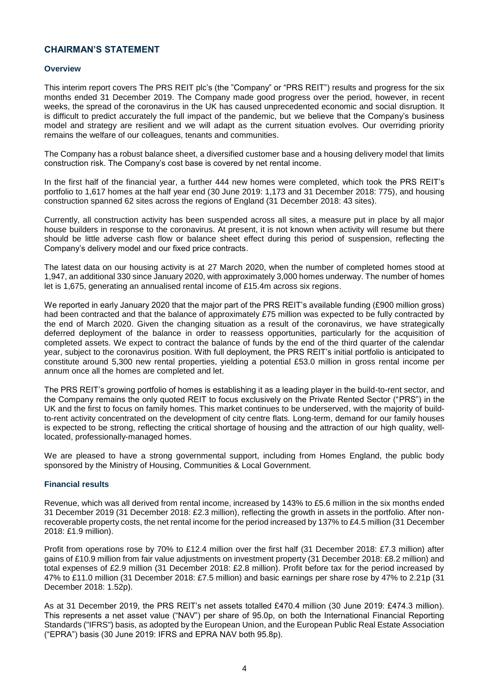## <span id="page-4-0"></span>**CHAIRMAN'S STATEMENT**

### **Overview**

This interim report covers The PRS REIT plc's (the "Company" or "PRS REIT") results and progress for the six months ended 31 December 2019. The Company made good progress over the period, however, in recent weeks, the spread of the coronavirus in the UK has caused unprecedented economic and social disruption. It is difficult to predict accurately the full impact of the pandemic, but we believe that the Company's business model and strategy are resilient and we will adapt as the current situation evolves. Our overriding priority remains the welfare of our colleagues, tenants and communities.

The Company has a robust balance sheet, a diversified customer base and a housing delivery model that limits construction risk. The Company's cost base is covered by net rental income.

In the first half of the financial year, a further 444 new homes were completed, which took the PRS REIT's portfolio to 1,617 homes at the half year end (30 June 2019: 1,173 and 31 December 2018: 775), and housing construction spanned 62 sites across the regions of England (31 December 2018: 43 sites).

Currently, all construction activity has been suspended across all sites, a measure put in place by all major house builders in response to the coronavirus. At present, it is not known when activity will resume but there should be little adverse cash flow or balance sheet effect during this period of suspension, reflecting the Company's delivery model and our fixed price contracts.

The latest data on our housing activity is at 27 March 2020, when the number of completed homes stood at 1,947, an additional 330 since January 2020, with approximately 3,000 homes underway. The number of homes let is 1,675, generating an annualised rental income of £15.4m across six regions.

We reported in early January 2020 that the major part of the PRS REIT's available funding (£900 million gross) had been contracted and that the balance of approximately £75 million was expected to be fully contracted by the end of March 2020. Given the changing situation as a result of the coronavirus, we have strategically deferred deployment of the balance in order to reassess opportunities, particularly for the acquisition of completed assets. We expect to contract the balance of funds by the end of the third quarter of the calendar year, subject to the coronavirus position. With full deployment, the PRS REIT's initial portfolio is anticipated to constitute around 5,300 new rental properties, yielding a potential £53.0 million in gross rental income per annum once all the homes are completed and let.

The PRS REIT's growing portfolio of homes is establishing it as a leading player in the build-to-rent sector, and the Company remains the only quoted REIT to focus exclusively on the Private Rented Sector ("PRS") in the UK and the first to focus on family homes. This market continues to be underserved, with the majority of buildto-rent activity concentrated on the development of city centre flats. Long-term, demand for our family houses is expected to be strong, reflecting the critical shortage of housing and the attraction of our high quality, welllocated, professionally-managed homes.

We are pleased to have a strong governmental support, including from Homes England, the public body sponsored by the Ministry of Housing, Communities & Local Government.

### **Financial results**

Revenue, which was all derived from rental income, increased by 143% to £5.6 million in the six months ended 31 December 2019 (31 December 2018: £2.3 million), reflecting the growth in assets in the portfolio. After nonrecoverable property costs, the net rental income for the period increased by 137% to £4.5 million (31 December 2018: £1.9 million).

Profit from operations rose by 70% to £12.4 million over the first half (31 December 2018: £7.3 million) after gains of £10.9 million from fair value adjustments on investment property (31 December 2018: £8.2 million) and total expenses of £2.9 million (31 December 2018: £2.8 million). Profit before tax for the period increased by 47% to £11.0 million (31 December 2018: £7.5 million) and basic earnings per share rose by 47% to 2.21p (31 December 2018: 1.52p).

As at 31 December 2019, the PRS REIT's net assets totalled £470.4 million (30 June 2019: £474.3 million). This represents a net asset value ("NAV") per share of 95.0p, on both the International Financial Reporting Standards ("IFRS") basis, as adopted by the European Union, and the European Public Real Estate Association ("EPRA") basis (30 June 2019: IFRS and EPRA NAV both 95.8p).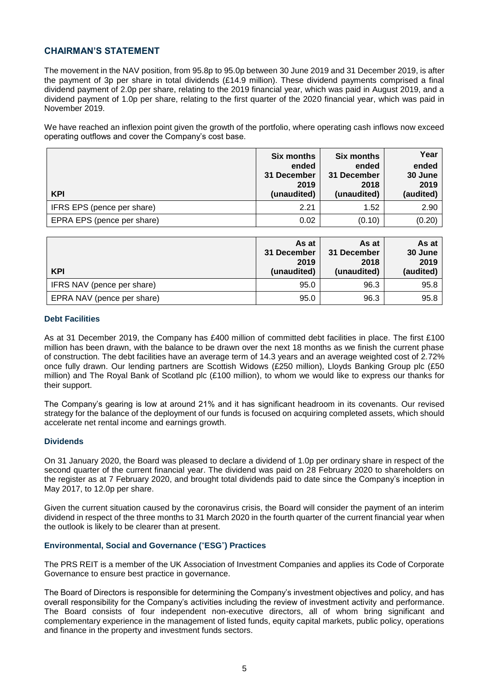## **CHAIRMAN'S STATEMENT**

The movement in the NAV position, from 95.8p to 95.0p between 30 June 2019 and 31 December 2019, is after the payment of 3p per share in total dividends (£14.9 million). These dividend payments comprised a final dividend payment of 2.0p per share, relating to the 2019 financial year, which was paid in August 2019, and a dividend payment of 1.0p per share, relating to the first quarter of the 2020 financial year, which was paid in November 2019.

We have reached an inflexion point given the growth of the portfolio, where operating cash inflows now exceed operating outflows and cover the Company's cost base.

| <b>KPI</b>                 | <b>Six months</b><br>ended<br>31 December<br>2019<br>(unaudited) | <b>Six months</b><br>ended<br>31 December<br>2018<br>(unaudited) | Year<br>ended<br>30 June<br>2019<br>(audited) |
|----------------------------|------------------------------------------------------------------|------------------------------------------------------------------|-----------------------------------------------|
| IFRS EPS (pence per share) | 2.21                                                             | 1.52                                                             | 2.90                                          |
| EPRA EPS (pence per share) | 0.02                                                             | (0.10)                                                           | (0.20)                                        |

| <b>KPI</b>                 | As at<br>31 December<br>2019<br>(unaudited) | As at<br>31 December<br>2018<br>(unaudited) | As at<br>30 June<br>2019<br>(audited) |
|----------------------------|---------------------------------------------|---------------------------------------------|---------------------------------------|
| IFRS NAV (pence per share) | 95.0                                        | 96.3                                        | 95.8                                  |
| EPRA NAV (pence per share) | 95.0                                        | 96.3                                        | 95.8                                  |

## **Debt Facilities**

As at 31 December 2019, the Company has £400 million of committed debt facilities in place. The first £100 million has been drawn, with the balance to be drawn over the next 18 months as we finish the current phase of construction. The debt facilities have an average term of 14.3 years and an average weighted cost of 2.72% once fully drawn. Our lending partners are Scottish Widows (£250 million), Lloyds Banking Group plc (£50 million) and The Royal Bank of Scotland plc (£100 million), to whom we would like to express our thanks for their support.

The Company's gearing is low at around 21% and it has significant headroom in its covenants. Our revised strategy for the balance of the deployment of our funds is focused on acquiring completed assets, which should accelerate net rental income and earnings growth.

### **Dividends**

On 31 January 2020, the Board was pleased to declare a dividend of 1.0p per ordinary share in respect of the second quarter of the current financial year. The dividend was paid on 28 February 2020 to shareholders on the register as at 7 February 2020, and brought total dividends paid to date since the Company's inception in May 2017, to 12.0p per share.

Given the current situation caused by the coronavirus crisis, the Board will consider the payment of an interim dividend in respect of the three months to 31 March 2020 in the fourth quarter of the current financial year when the outlook is likely to be clearer than at present.

## **Environmental, Social and Governance (**"**ESG**"**) Practices**

The PRS REIT is a member of the UK Association of Investment Companies and applies its Code of Corporate Governance to ensure best practice in governance.

The Board of Directors is responsible for determining the Company's investment objectives and policy, and has overall responsibility for the Company's activities including the review of investment activity and performance. The Board consists of four independent non-executive directors, all of whom bring significant and complementary experience in the management of listed funds, equity capital markets, public policy, operations and finance in the property and investment funds sectors.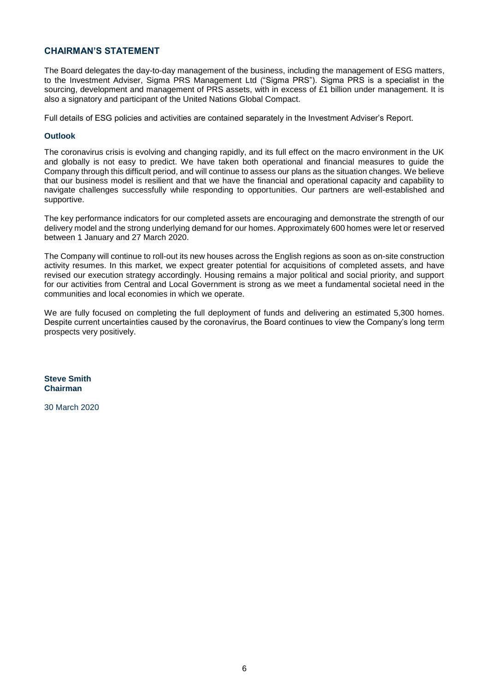## **CHAIRMAN'S STATEMENT**

The Board delegates the day-to-day management of the business, including the management of ESG matters, to the Investment Adviser, Sigma PRS Management Ltd ("Sigma PRS"). Sigma PRS is a specialist in the sourcing, development and management of PRS assets, with in excess of £1 billion under management. It is also a signatory and participant of the United Nations Global Compact.

Full details of ESG policies and activities are contained separately in the Investment Adviser's Report.

## **Outlook**

The coronavirus crisis is evolving and changing rapidly, and its full effect on the macro environment in the UK and globally is not easy to predict. We have taken both operational and financial measures to guide the Company through this difficult period, and will continue to assess our plans as the situation changes. We believe that our business model is resilient and that we have the financial and operational capacity and capability to navigate challenges successfully while responding to opportunities. Our partners are well-established and supportive.

The key performance indicators for our completed assets are encouraging and demonstrate the strength of our delivery model and the strong underlying demand for our homes. Approximately 600 homes were let or reserved between 1 January and 27 March 2020.

The Company will continue to roll-out its new houses across the English regions as soon as on-site construction activity resumes. In this market, we expect greater potential for acquisitions of completed assets, and have revised our execution strategy accordingly. Housing remains a major political and social priority, and support for our activities from Central and Local Government is strong as we meet a fundamental societal need in the communities and local economies in which we operate.

We are fully focused on completing the full deployment of funds and delivering an estimated 5,300 homes. Despite current uncertainties caused by the coronavirus, the Board continues to view the Company's long term prospects very positively.

**Steve Smith Chairman**

30 March 2020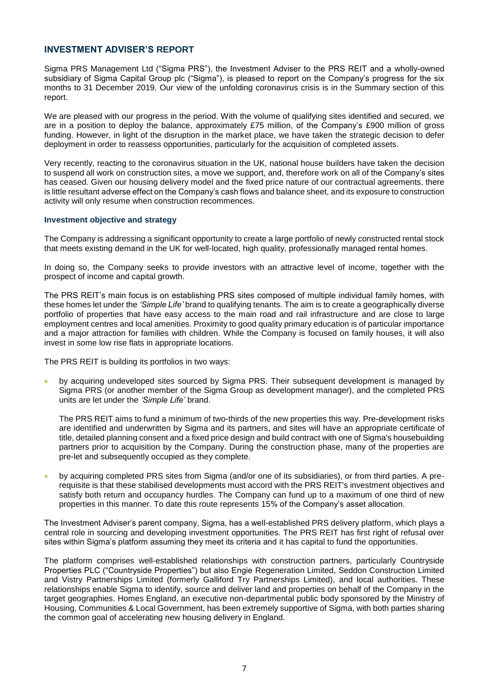<span id="page-7-0"></span>Sigma PRS Management Ltd ("Sigma PRS"), the Investment Adviser to the PRS REIT and a wholly-owned subsidiary of Sigma Capital Group plc ("Sigma"), is pleased to report on the Company's progress for the six months to 31 December 2019. Our view of the unfolding coronavirus crisis is in the Summary section of this report.

We are pleased with our progress in the period. With the volume of qualifying sites identified and secured, we are in a position to deploy the balance, approximately £75 million, of the Company's £900 million of gross funding. However, in light of the disruption in the market place, we have taken the strategic decision to defer deployment in order to reassess opportunities, particularly for the acquisition of completed assets.

Very recently, reacting to the coronavirus situation in the UK, national house builders have taken the decision to suspend all work on construction sites, a move we support, and, therefore work on all of the Company's sites has ceased. Given our housing delivery model and the fixed price nature of our contractual agreements, there is little resultant adverse effect on the Company's cash flows and balance sheet, and its exposure to construction activity will only resume when construction recommences.

## **Investment objective and strategy**

The Company is addressing a significant opportunity to create a large portfolio of newly constructed rental stock that meets existing demand in the UK for well-located, high quality, professionally managed rental homes.

In doing so, the Company seeks to provide investors with an attractive level of income, together with the prospect of income and capital growth.

The PRS REIT's main focus is on establishing PRS sites composed of multiple individual family homes, with these homes let under the *'Simple Life'* brand to qualifying tenants. The aim is to create a geographically diverse portfolio of properties that have easy access to the main road and rail infrastructure and are close to large employment centres and local amenities. Proximity to good quality primary education is of particular importance and a major attraction for families with children. While the Company is focused on family houses, it will also invest in some low rise flats in appropriate locations.

The PRS REIT is building its portfolios in two ways:

 by acquiring undeveloped sites sourced by Sigma PRS. Their subsequent development is managed by Sigma PRS (or another member of the Sigma Group as development manager), and the completed PRS units are let under the *'Simple Life'* brand.

The PRS REIT aims to fund a minimum of two-thirds of the new properties this way. Pre-development risks are identified and underwritten by Sigma and its partners, and sites will have an appropriate certificate of title, detailed planning consent and a fixed price design and build contract with one of Sigma's housebuilding partners prior to acquisition by the Company. During the construction phase, many of the properties are pre-let and subsequently occupied as they complete.

 by acquiring completed PRS sites from Sigma (and/or one of its subsidiaries), or from third parties. A prerequisite is that these stabilised developments must accord with the PRS REIT's investment objectives and satisfy both return and occupancy hurdles. The Company can fund up to a maximum of one third of new properties in this manner. To date this route represents 15% of the Company's asset allocation.

The Investment Adviser's parent company, Sigma, has a well-established PRS delivery platform, which plays a central role in sourcing and developing investment opportunities. The PRS REIT has first right of refusal over sites within Sigma's platform assuming they meet its criteria and it has capital to fund the opportunities.

The platform comprises well-established relationships with construction partners, particularly Countryside Properties PLC ("Countryside Properties") but also Engie Regeneration Limited, Seddon Construction Limited and Vistry Partnerships Limited (formerly Galliford Try Partnerships Limited), and local authorities. These relationships enable Sigma to identify, source and deliver land and properties on behalf of the Company in the target geographies. Homes England, an executive non-departmental public body sponsored by the Ministry of Housing, Communities & Local Government, has been extremely supportive of Sigma, with both parties sharing the common goal of accelerating new housing delivery in England.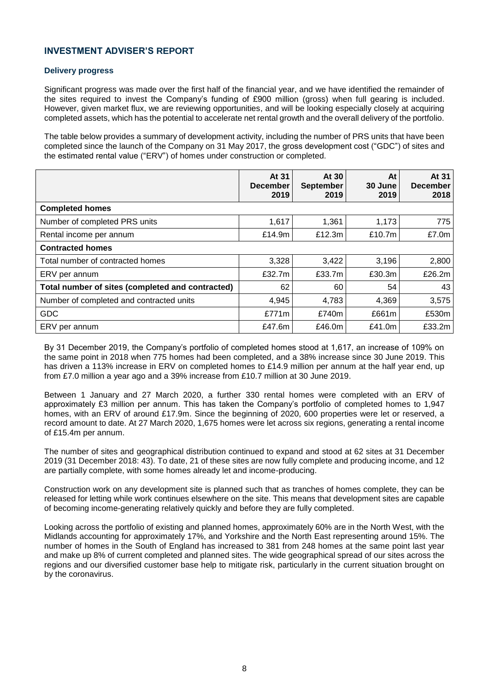### **Delivery progress**

Significant progress was made over the first half of the financial year, and we have identified the remainder of the sites required to invest the Company's funding of £900 million (gross) when full gearing is included. However, given market flux, we are reviewing opportunities, and will be looking especially closely at acquiring completed assets, which has the potential to accelerate net rental growth and the overall delivery of the portfolio.

The table below provides a summary of development activity, including the number of PRS units that have been completed since the launch of the Company on 31 May 2017, the gross development cost ("GDC") of sites and the estimated rental value ("ERV") of homes under construction or completed.

|                                                  | At 31<br><b>December</b><br>2019 | At 30<br><b>September</b><br>2019 | At<br>30 June<br>2019 | At 31<br><b>December</b><br>2018 |
|--------------------------------------------------|----------------------------------|-----------------------------------|-----------------------|----------------------------------|
| <b>Completed homes</b>                           |                                  |                                   |                       |                                  |
| Number of completed PRS units                    | 1,617                            | 1,361                             | 1,173                 | 775                              |
| Rental income per annum                          | £14.9m                           | £12.3m                            | £10.7m                | £7.0m                            |
| <b>Contracted homes</b>                          |                                  |                                   |                       |                                  |
| Total number of contracted homes                 | 3,328                            | 3,422                             | 3,196                 | 2,800                            |
| ERV per annum                                    | £32.7m                           | £33.7m                            | £30.3m                | £26.2m                           |
| Total number of sites (completed and contracted) | 62                               | 60                                | 54                    | 43                               |
| Number of completed and contracted units         | 4,945                            | 4,783                             | 4,369                 | 3,575                            |
| <b>GDC</b>                                       | £771 $m$                         | £740m                             | £661m                 | £530m                            |
| ERV per annum                                    | £47.6m                           | £46.0m                            | £41.0m                | £33.2m                           |

By 31 December 2019, the Company's portfolio of completed homes stood at 1,617, an increase of 109% on the same point in 2018 when 775 homes had been completed, and a 38% increase since 30 June 2019. This has driven a 113% increase in ERV on completed homes to £14.9 million per annum at the half year end, up from £7.0 million a year ago and a 39% increase from £10.7 million at 30 June 2019.

Between 1 January and 27 March 2020, a further 330 rental homes were completed with an ERV of approximately £3 million per annum. This has taken the Company's portfolio of completed homes to 1,947 homes, with an ERV of around £17.9m. Since the beginning of 2020, 600 properties were let or reserved, a record amount to date. At 27 March 2020, 1,675 homes were let across six regions, generating a rental income of £15.4m per annum.

The number of sites and geographical distribution continued to expand and stood at 62 sites at 31 December 2019 (31 December 2018: 43). To date, 21 of these sites are now fully complete and producing income, and 12 are partially complete, with some homes already let and income-producing.

Construction work on any development site is planned such that as tranches of homes complete, they can be released for letting while work continues elsewhere on the site. This means that development sites are capable of becoming income-generating relatively quickly and before they are fully completed.

Looking across the portfolio of existing and planned homes, approximately 60% are in the North West, with the Midlands accounting for approximately 17%, and Yorkshire and the North East representing around 15%. The number of homes in the South of England has increased to 381 from 248 homes at the same point last year and make up 8% of current completed and planned sites. The wide geographical spread of our sites across the regions and our diversified customer base help to mitigate risk, particularly in the current situation brought on by the coronavirus.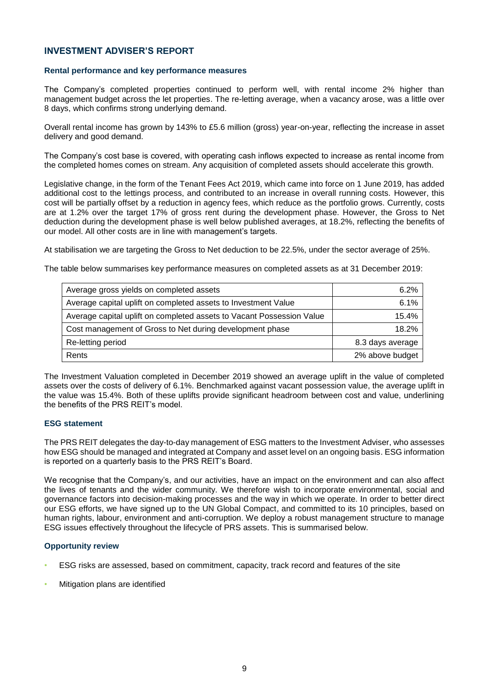#### **Rental performance and key performance measures**

The Company's completed properties continued to perform well, with rental income 2% higher than management budget across the let properties. The re-letting average, when a vacancy arose, was a little over 8 days, which confirms strong underlying demand.

Overall rental income has grown by 143% to £5.6 million (gross) year-on-year, reflecting the increase in asset delivery and good demand.

The Company's cost base is covered, with operating cash inflows expected to increase as rental income from the completed homes comes on stream. Any acquisition of completed assets should accelerate this growth.

Legislative change, in the form of the Tenant Fees Act 2019, which came into force on 1 June 2019, has added additional cost to the lettings process, and contributed to an increase in overall running costs. However, this cost will be partially offset by a reduction in agency fees, which reduce as the portfolio grows. Currently, costs are at 1.2% over the target 17% of gross rent during the development phase. However, the Gross to Net deduction during the development phase is well below published averages, at 18.2%, reflecting the benefits of our model. All other costs are in line with management's targets.

At stabilisation we are targeting the Gross to Net deduction to be 22.5%, under the sector average of 25%.

The table below summarises key performance measures on completed assets as at 31 December 2019:

| Average gross yields on completed assets                              | 6.2%             |
|-----------------------------------------------------------------------|------------------|
| Average capital uplift on completed assets to Investment Value        | 6.1%             |
| Average capital uplift on completed assets to Vacant Possession Value | 15.4%            |
| Cost management of Gross to Net during development phase              | 18.2%            |
| Re-letting period                                                     | 8.3 days average |
| Rents                                                                 | 2% above budget  |

The Investment Valuation completed in December 2019 showed an average uplift in the value of completed assets over the costs of delivery of 6.1%. Benchmarked against vacant possession value, the average uplift in the value was 15.4%. Both of these uplifts provide significant headroom between cost and value, underlining the benefits of the PRS REIT's model.

### **ESG statement**

The PRS REIT delegates the day-to-day management of ESG matters to the Investment Adviser, who assesses how ESG should be managed and integrated at Company and asset level on an ongoing basis. ESG information is reported on a quarterly basis to the PRS REIT's Board.

We recognise that the Company's, and our activities, have an impact on the environment and can also affect the lives of tenants and the wider community. We therefore wish to incorporate environmental, social and governance factors into decision-making processes and the way in which we operate. In order to better direct our ESG efforts, we have signed up to the UN Global Compact, and committed to its 10 principles, based on human rights, labour, environment and anti-corruption. We deploy a robust management structure to manage ESG issues effectively throughout the lifecycle of PRS assets. This is summarised below.

### **Opportunity review**

- ESG risks are assessed, based on commitment, capacity, track record and features of the site
- Mitigation plans are identified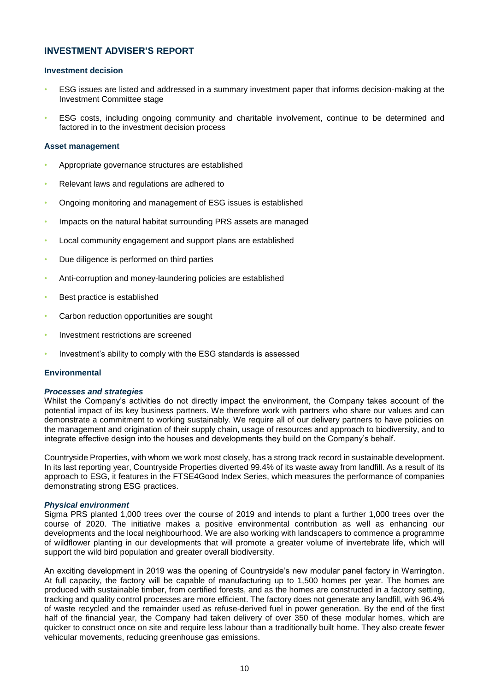### **Investment decision**

- ESG issues are listed and addressed in a summary investment paper that informs decision-making at the Investment Committee stage
- ESG costs, including ongoing community and charitable involvement, continue to be determined and factored in to the investment decision process

### **Asset management**

- Appropriate governance structures are established
- Relevant laws and regulations are adhered to
- Ongoing monitoring and management of ESG issues is established
- Impacts on the natural habitat surrounding PRS assets are managed
- Local community engagement and support plans are established
- Due diligence is performed on third parties
- Anti-corruption and money-laundering policies are established
- Best practice is established
- Carbon reduction opportunities are sought
- Investment restrictions are screened
- Investment's ability to comply with the ESG standards is assessed

#### **Environmental**

#### *Processes and strategies*

Whilst the Company's activities do not directly impact the environment, the Company takes account of the potential impact of its key business partners. We therefore work with partners who share our values and can demonstrate a commitment to working sustainably. We require all of our delivery partners to have policies on the management and origination of their supply chain, usage of resources and approach to biodiversity, and to integrate effective design into the houses and developments they build on the Company's behalf.

Countryside Properties, with whom we work most closely, has a strong track record in sustainable development. In its last reporting year, Countryside Properties diverted 99.4% of its waste away from landfill. As a result of its approach to ESG, it features in the FTSE4Good Index Series, which measures the performance of companies demonstrating strong ESG practices.

#### *Physical environment*

Sigma PRS planted 1,000 trees over the course of 2019 and intends to plant a further 1,000 trees over the course of 2020. The initiative makes a positive environmental contribution as well as enhancing our developments and the local neighbourhood. We are also working with landscapers to commence a programme of wildflower planting in our developments that will promote a greater volume of invertebrate life, which will support the wild bird population and greater overall biodiversity.

An exciting development in 2019 was the opening of Countryside's new modular panel factory in Warrington. At full capacity, the factory will be capable of manufacturing up to 1,500 homes per year. The homes are produced with sustainable timber, from certified forests, and as the homes are constructed in a factory setting, tracking and quality control processes are more efficient. The factory does not generate any landfill, with 96.4% of waste recycled and the remainder used as refuse-derived fuel in power generation. By the end of the first half of the financial year, the Company had taken delivery of over 350 of these modular homes, which are quicker to construct once on site and require less labour than a traditionally built home. They also create fewer vehicular movements, reducing greenhouse gas emissions.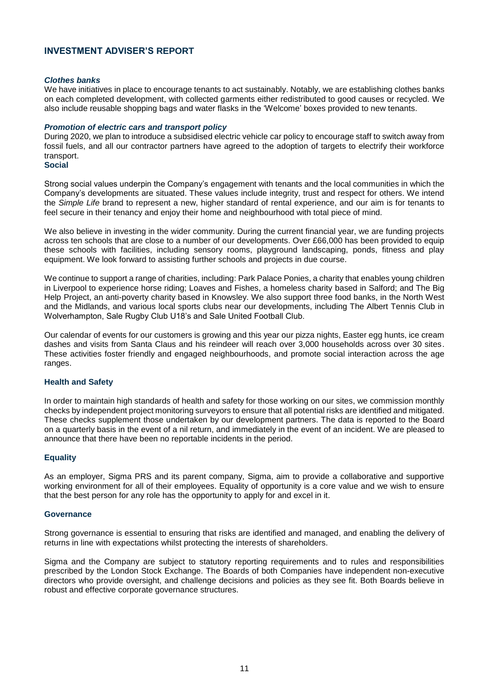### *Clothes banks*

We have initiatives in place to encourage tenants to act sustainably. Notably, we are establishing clothes banks on each completed development, with collected garments either redistributed to good causes or recycled. We also include reusable shopping bags and water flasks in the 'Welcome' boxes provided to new tenants.

### *Promotion of electric cars and transport policy*

During 2020, we plan to introduce a subsidised electric vehicle car policy to encourage staff to switch away from fossil fuels, and all our contractor partners have agreed to the adoption of targets to electrify their workforce transport.

## **Social**

Strong social values underpin the Company's engagement with tenants and the local communities in which the Company's developments are situated. These values include integrity, trust and respect for others. We intend the *Simple Life* brand to represent a new, higher standard of rental experience, and our aim is for tenants to feel secure in their tenancy and enjoy their home and neighbourhood with total piece of mind.

We also believe in investing in the wider community. During the current financial year, we are funding projects across ten schools that are close to a number of our developments. Over £66,000 has been provided to equip these schools with facilities, including sensory rooms, playground landscaping, ponds, fitness and play equipment. We look forward to assisting further schools and projects in due course.

We continue to support a range of charities, including: Park Palace Ponies, a charity that enables young children in Liverpool to experience horse riding; Loaves and Fishes, a homeless charity based in Salford; and The Big Help Project, an anti-poverty charity based in Knowsley. We also support three food banks, in the North West and the Midlands, and various local sports clubs near our developments, including The Albert Tennis Club in Wolverhampton, Sale Rugby Club U18's and Sale United Football Club.

Our calendar of events for our customers is growing and this year our pizza nights, Easter egg hunts, ice cream dashes and visits from Santa Claus and his reindeer will reach over 3,000 households across over 30 sites. These activities foster friendly and engaged neighbourhoods, and promote social interaction across the age ranges.

### **Health and Safety**

In order to maintain high standards of health and safety for those working on our sites, we commission monthly checks by independent project monitoring surveyors to ensure that all potential risks are identified and mitigated. These checks supplement those undertaken by our development partners. The data is reported to the Board on a quarterly basis in the event of a nil return, and immediately in the event of an incident. We are pleased to announce that there have been no reportable incidents in the period.

## **Equality**

As an employer, Sigma PRS and its parent company, Sigma, aim to provide a collaborative and supportive working environment for all of their employees. Equality of opportunity is a core value and we wish to ensure that the best person for any role has the opportunity to apply for and excel in it.

### **Governance**

Strong governance is essential to ensuring that risks are identified and managed, and enabling the delivery of returns in line with expectations whilst protecting the interests of shareholders.

Sigma and the Company are subject to statutory reporting requirements and to rules and responsibilities prescribed by the London Stock Exchange. The Boards of both Companies have independent non-executive directors who provide oversight, and challenge decisions and policies as they see fit. Both Boards believe in robust and effective corporate governance structures.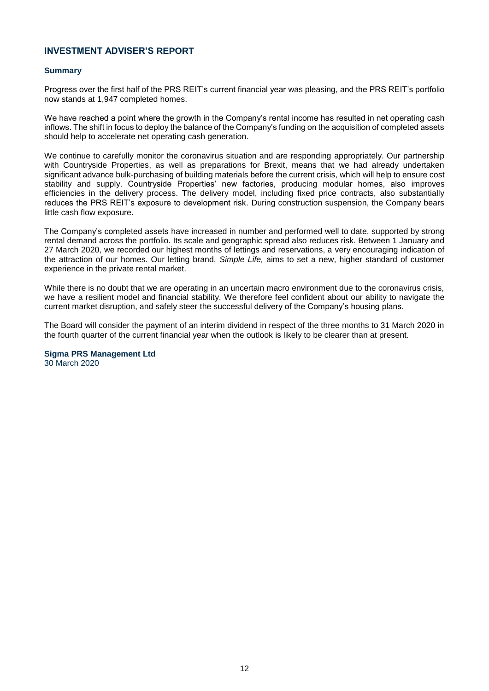### **Summary**

Progress over the first half of the PRS REIT's current financial year was pleasing, and the PRS REIT's portfolio now stands at 1,947 completed homes.

We have reached a point where the growth in the Company's rental income has resulted in net operating cash inflows. The shift in focus to deploy the balance of the Company's funding on the acquisition of completed assets should help to accelerate net operating cash generation.

We continue to carefully monitor the coronavirus situation and are responding appropriately. Our partnership with Countryside Properties, as well as preparations for Brexit, means that we had already undertaken significant advance bulk-purchasing of building materials before the current crisis, which will help to ensure cost stability and supply. Countryside Properties' new factories, producing modular homes, also improves efficiencies in the delivery process. The delivery model, including fixed price contracts, also substantially reduces the PRS REIT's exposure to development risk. During construction suspension, the Company bears little cash flow exposure.

The Company's completed assets have increased in number and performed well to date, supported by strong rental demand across the portfolio. Its scale and geographic spread also reduces risk. Between 1 January and 27 March 2020, we recorded our highest months of lettings and reservations, a very encouraging indication of the attraction of our homes. Our letting brand, *Simple Life,* aims to set a new, higher standard of customer experience in the private rental market.

While there is no doubt that we are operating in an uncertain macro environment due to the coronavirus crisis, we have a resilient model and financial stability. We therefore feel confident about our ability to navigate the current market disruption, and safely steer the successful delivery of the Company's housing plans.

The Board will consider the payment of an interim dividend in respect of the three months to 31 March 2020 in the fourth quarter of the current financial year when the outlook is likely to be clearer than at present.

**Sigma PRS Management Ltd** 30 March 2020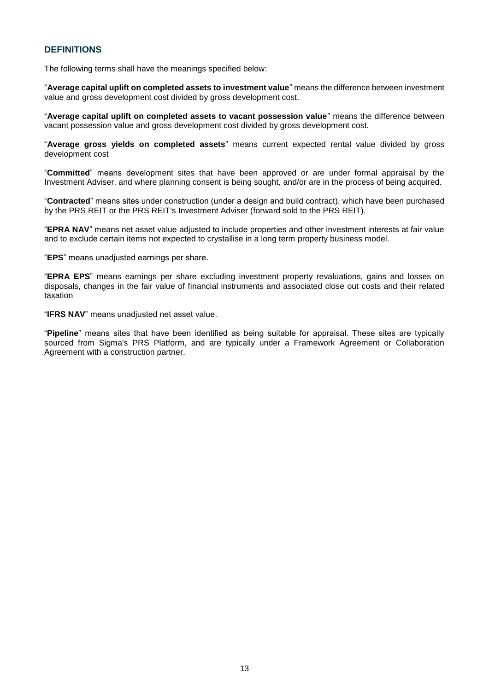## <span id="page-13-0"></span>**DEFINITIONS**

The following terms shall have the meanings specified below:

"**Average capital uplift on completed assets to investment value**" means the difference between investment value and gross development cost divided by gross development cost.

"**Average capital uplift on completed assets to vacant possession value**" means the difference between vacant possession value and gross development cost divided by gross development cost.

"**Average gross yields on completed assets**" means current expected rental value divided by gross development cost

"**Committed**" means development sites that have been approved or are under formal appraisal by the Investment Adviser, and where planning consent is being sought, and/or are in the process of being acquired.

"**Contracted**" means sites under construction (under a design and build contract), which have been purchased by the PRS REIT or the PRS REIT's Investment Adviser (forward sold to the PRS REIT).

"**EPRA NAV**" means net asset value adjusted to include properties and other investment interests at fair value and to exclude certain items not expected to crystallise in a long term property business model.

"**EPS**" means unadjusted earnings per share.

"**EPRA EPS**" means earnings per share excluding investment property revaluations, gains and losses on disposals, changes in the fair value of financial instruments and associated close out costs and their related taxation

"**IFRS NAV**" means unadjusted net asset value.

"**Pipeline**" means sites that have been identified as being suitable for appraisal. These sites are typically sourced from Sigma's PRS Platform, and are typically under a Framework Agreement or Collaboration Agreement with a construction partner.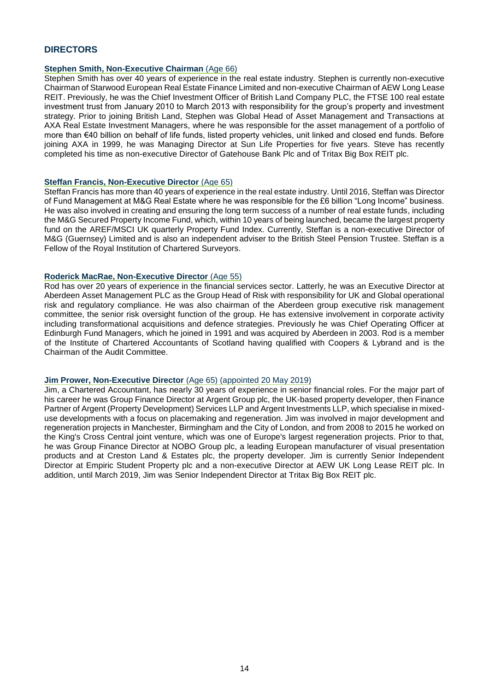## <span id="page-14-0"></span>**DIRECTORS**

### **Stephen Smith, Non-Executive Chairman** (Age 66)

Stephen Smith has over 40 years of experience in the real estate industry. Stephen is currently non-executive Chairman of Starwood European Real Estate Finance Limited and non-executive Chairman of AEW Long Lease REIT. Previously, he was the Chief Investment Officer of British Land Company PLC, the FTSE 100 real estate investment trust from January 2010 to March 2013 with responsibility for the group's property and investment strategy. Prior to joining British Land, Stephen was Global Head of Asset Management and Transactions at AXA Real Estate Investment Managers, where he was responsible for the asset management of a portfolio of more than €40 billion on behalf of life funds, listed property vehicles, unit linked and closed end funds. Before joining AXA in 1999, he was Managing Director at Sun Life Properties for five years. Steve has recently completed his time as non-executive Director of Gatehouse Bank Plc and of Tritax Big Box REIT plc.

#### **Steffan Francis, Non-Executive Director** (Age 65)

Steffan Francis has more than 40 years of experience in the real estate industry. Until 2016, Steffan was Director of Fund Management at M&G Real Estate where he was responsible for the £6 billion "Long Income" business. He was also involved in creating and ensuring the long term success of a number of real estate funds, including the M&G Secured Property Income Fund, which, within 10 years of being launched, became the largest property fund on the AREF/MSCI UK quarterly Property Fund Index. Currently, Steffan is a non-executive Director of M&G (Guernsey) Limited and is also an independent adviser to the British Steel Pension Trustee. Steffan is a Fellow of the Royal Institution of Chartered Surveyors.

#### **Roderick MacRae, Non-Executive Director** (Age 55)

Rod has over 20 years of experience in the financial services sector. Latterly, he was an Executive Director at Aberdeen Asset Management PLC as the Group Head of Risk with responsibility for UK and Global operational risk and regulatory compliance. He was also chairman of the Aberdeen group executive risk management committee, the senior risk oversight function of the group. He has extensive involvement in corporate activity including transformational acquisitions and defence strategies. Previously he was Chief Operating Officer at Edinburgh Fund Managers, which he joined in 1991 and was acquired by Aberdeen in 2003. Rod is a member of the Institute of Chartered Accountants of Scotland having qualified with Coopers & Lybrand and is the Chairman of the Audit Committee.

#### **Jim Prower, Non-Executive Director** (Age 65) (appointed 20 May 2019)

Jim, a Chartered Accountant, has nearly 30 years of experience in senior financial roles. For the major part of his career he was Group Finance Director at Argent Group plc, the UK-based property developer, then Finance Partner of Argent (Property Development) Services LLP and Argent Investments LLP, which specialise in mixeduse developments with a focus on placemaking and regeneration. Jim was involved in major development and regeneration projects in Manchester, Birmingham and the City of London, and from 2008 to 2015 he worked on the King's Cross Central joint venture, which was one of Europe's largest regeneration projects. Prior to that, he was Group Finance Director at NOBO Group plc, a leading European manufacturer of visual presentation products and at Creston Land & Estates plc, the property developer. Jim is currently Senior Independent Director at Empiric Student Property plc and a non-executive Director at AEW UK Long Lease REIT plc. In addition, until March 2019, Jim was Senior Independent Director at Tritax Big Box REIT plc.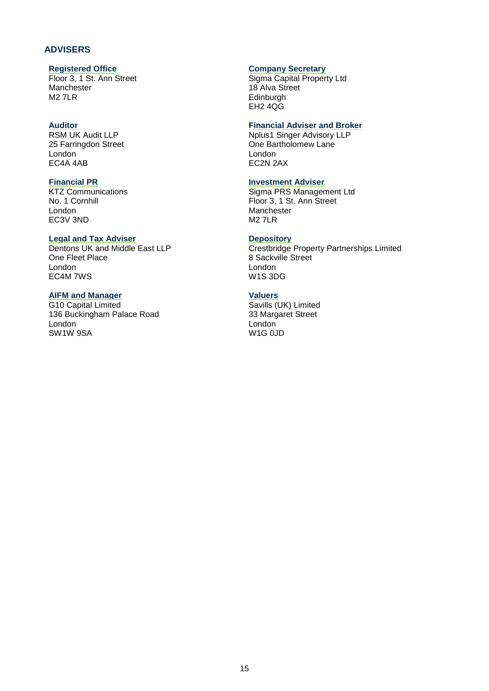## <span id="page-15-0"></span>**ADVISERS**

## **Registered Office**

Floor 3, 1 St. Ann Street **Manchester** M<sub>2</sub> 7LR

## **Auditor**

RSM UK Audit LLP 25 Farringdon Street London EC4A 4AB

## **Financial PR**

KTZ Communications No. 1 Cornhill London EC3V 3ND

## **Legal and Tax Adviser**

Dentons UK and Middle East LLP One Fleet Place London EC4M 7WS

## **AIFM and Manager**

G10 Capital Limited 136 Buckingham Palace Road London SW1W 9SA

### **Company Secretary**

Sigma Capital Property Ltd 18 Alva Street **Edinburgh** EH2 4QG

## **Financial Adviser and Broker**

Nplus1 Singer Advisory LLP One Bartholomew Lane London EC2N 2AX

## **Investment Adviser**

Sigma PRS Management Ltd Floor 3, 1 St. Ann Street Manchester M2 7LR

## **Depository**

Crestbridge Property Partnerships Limited 8 Sackville Street London W1S 3DG

## **Valuers**

Savills (UK) Limited 33 Margaret Street London W1G 0JD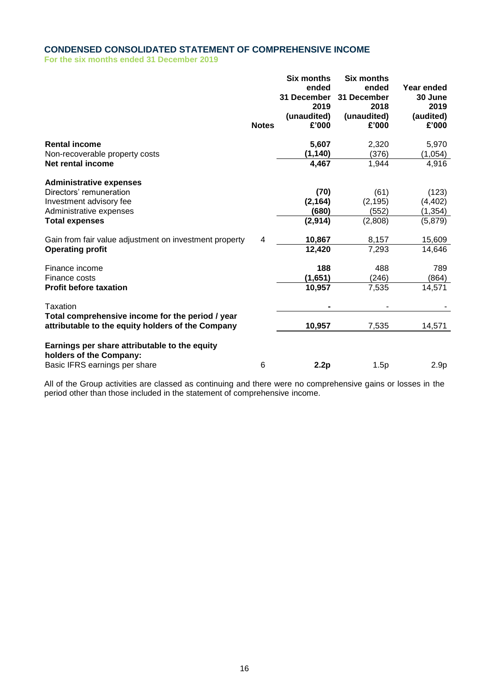## <span id="page-16-0"></span>**CONDENSED CONSOLIDATED STATEMENT OF COMPREHENSIVE INCOME**

**For the six months ended 31 December 2019**

|                                                                                                           | <b>Notes</b> | <b>Six months</b><br>ended<br>31 December<br>2019<br>(unaudited)<br>£'000 | <b>Six months</b><br>ended<br>31 December<br>2018<br>(unaudited)<br>£'000 | Year ended<br>30 June<br>2019<br>(audited)<br>£'000 |
|-----------------------------------------------------------------------------------------------------------|--------------|---------------------------------------------------------------------------|---------------------------------------------------------------------------|-----------------------------------------------------|
| <b>Rental income</b>                                                                                      |              | 5,607                                                                     | 2,320                                                                     | 5,970                                               |
| Non-recoverable property costs                                                                            |              | (1, 140)                                                                  | (376)                                                                     | (1,054)                                             |
| <b>Net rental income</b>                                                                                  |              | 4,467                                                                     | 1,944                                                                     | 4,916                                               |
| <b>Administrative expenses</b>                                                                            |              |                                                                           |                                                                           |                                                     |
| Directors' remuneration                                                                                   |              | (70)                                                                      | (61)                                                                      | (123)                                               |
| Investment advisory fee                                                                                   |              | (2, 164)                                                                  | (2, 195)                                                                  | (4, 402)                                            |
| Administrative expenses                                                                                   |              | (680)                                                                     | (552)                                                                     | (1, 354)                                            |
| <b>Total expenses</b>                                                                                     |              | (2, 914)                                                                  | (2,808)                                                                   | (5, 879)                                            |
| Gain from fair value adjustment on investment property                                                    | 4            | 10,867                                                                    | 8,157                                                                     | 15,609                                              |
| <b>Operating profit</b>                                                                                   |              | 12,420                                                                    | 7,293                                                                     | 14,646                                              |
| Finance income                                                                                            |              | 188                                                                       | 488                                                                       | 789                                                 |
| Finance costs                                                                                             |              | (1,651)                                                                   | (246)                                                                     | (864)                                               |
| <b>Profit before taxation</b>                                                                             |              | 10,957                                                                    | 7,535                                                                     | 14,571                                              |
| Taxation                                                                                                  |              |                                                                           |                                                                           |                                                     |
| Total comprehensive income for the period / year<br>attributable to the equity holders of the Company     |              | 10,957                                                                    | 7,535                                                                     | 14,571                                              |
| Earnings per share attributable to the equity<br>holders of the Company:<br>Basic IFRS earnings per share | 6            | 2.2p                                                                      | 1.5p                                                                      | 2.9 <sub>p</sub>                                    |

All of the Group activities are classed as continuing and there were no comprehensive gains or losses in the period other than those included in the statement of comprehensive income.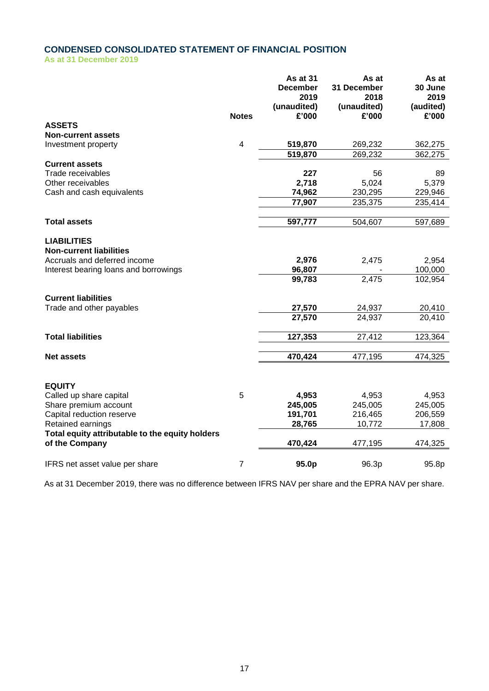## <span id="page-17-0"></span>**CONDENSED CONSOLIDATED STATEMENT OF FINANCIAL POSITION**

**As at 31 December 2019**

|                                                                                      |                | As at 31<br><b>December</b><br>2019<br>(unaudited) | As at<br>31 December<br>2018<br>(unaudited) | As at<br>30 June<br>2019<br>(audited) |
|--------------------------------------------------------------------------------------|----------------|----------------------------------------------------|---------------------------------------------|---------------------------------------|
|                                                                                      | <b>Notes</b>   | £'000                                              | £'000                                       | £'000                                 |
| <b>ASSETS</b>                                                                        |                |                                                    |                                             |                                       |
| <b>Non-current assets</b>                                                            |                |                                                    |                                             |                                       |
| Investment property                                                                  | $\overline{4}$ | 519,870<br>519,870                                 | 269,232<br>269,232                          | 362,275<br>362,275                    |
| <b>Current assets</b>                                                                |                |                                                    |                                             |                                       |
| Trade receivables                                                                    |                | 227                                                | 56                                          | 89                                    |
| Other receivables                                                                    |                | 2,718                                              | 5,024                                       | 5,379                                 |
| Cash and cash equivalents                                                            |                | 74,962                                             | 230,295                                     | 229,946                               |
|                                                                                      |                | 77,907                                             | 235,375                                     | 235,414                               |
|                                                                                      |                |                                                    |                                             |                                       |
| <b>Total assets</b>                                                                  |                | 597,777                                            | 504,607                                     | 597,689                               |
| <b>LIABILITIES</b><br><b>Non-current liabilities</b><br>Accruals and deferred income |                | 2,976                                              | 2,475                                       | 2,954                                 |
| Interest bearing loans and borrowings                                                |                | 96,807                                             |                                             | 100,000                               |
|                                                                                      |                | 99,783                                             | 2,475                                       | 102,954                               |
|                                                                                      |                |                                                    |                                             |                                       |
| <b>Current liabilities</b>                                                           |                |                                                    |                                             |                                       |
| Trade and other payables                                                             |                | 27,570                                             | 24,937                                      | 20,410                                |
|                                                                                      |                | 27,570                                             | 24,937                                      | 20,410                                |
| <b>Total liabilities</b>                                                             |                | 127,353                                            | 27,412                                      | 123,364                               |
|                                                                                      |                |                                                    |                                             |                                       |
| <b>Net assets</b>                                                                    |                | 470,424                                            | 477,195                                     | 474,325                               |
| <b>EQUITY</b>                                                                        |                |                                                    |                                             |                                       |
| Called up share capital                                                              | 5              | 4,953                                              | 4,953                                       | 4,953                                 |
| Share premium account                                                                |                | 245,005                                            | 245,005                                     | 245,005                               |
| Capital reduction reserve                                                            |                | 191,701                                            | 216,465                                     | 206,559                               |
| Retained earnings                                                                    |                | 28,765                                             | 10,772                                      | 17,808                                |
| Total equity attributable to the equity holders<br>of the Company                    |                | 470,424                                            | 477,195                                     | 474,325                               |
| IFRS net asset value per share                                                       | 7              | 95.0p                                              | 96.3p                                       | 95.8p                                 |

As at 31 December 2019, there was no difference between IFRS NAV per share and the EPRA NAV per share.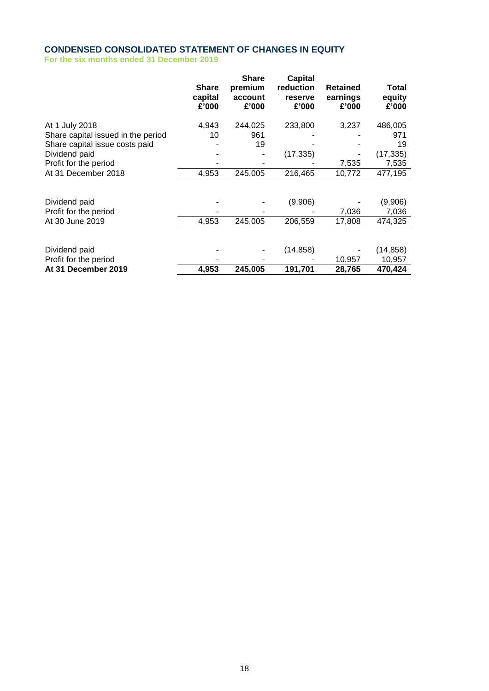## <span id="page-18-0"></span>**CONDENSED CONSOLIDATED STATEMENT OF CHANGES IN EQUITY For the six months ended 31 December 2019**

|                                    | <b>Share</b><br>capital<br>£'000 | <b>Share</b><br>premium<br>account<br>£'000 | Capital<br>reduction<br>reserve<br>£'000 | <b>Retained</b><br>earnings<br>£'000 | Total<br>equity<br>£'000 |
|------------------------------------|----------------------------------|---------------------------------------------|------------------------------------------|--------------------------------------|--------------------------|
| At 1 July 2018                     | 4,943                            | 244,025                                     | 233,800                                  | 3,237                                | 486,005                  |
| Share capital issued in the period | 10                               | 961                                         |                                          |                                      | 971                      |
| Share capital issue costs paid     |                                  | 19                                          |                                          |                                      | 19                       |
| Dividend paid                      |                                  |                                             | (17, 335)                                |                                      | (17, 335)                |
| Profit for the period              |                                  |                                             |                                          | 7,535                                | 7,535                    |
| At 31 December 2018                | 4,953                            | 245,005                                     | 216,465                                  | 10,772                               | 477,195                  |
|                                    |                                  |                                             |                                          |                                      |                          |
| Dividend paid                      |                                  |                                             | (9,906)                                  |                                      | (9,906)                  |
| Profit for the period              |                                  |                                             |                                          | 7,036                                | 7,036                    |
| At 30 June 2019                    | 4,953                            | 245,005                                     | 206,559                                  | 17,808                               | 474,325                  |
|                                    |                                  |                                             |                                          |                                      |                          |
| Dividend paid                      |                                  |                                             | (14, 858)                                |                                      | (14,858)                 |
| Profit for the period              |                                  |                                             |                                          | 10,957                               | 10,957                   |
| At 31 December 2019                | 4,953                            | 245,005                                     | 191,701                                  | 28,765                               | 470,424                  |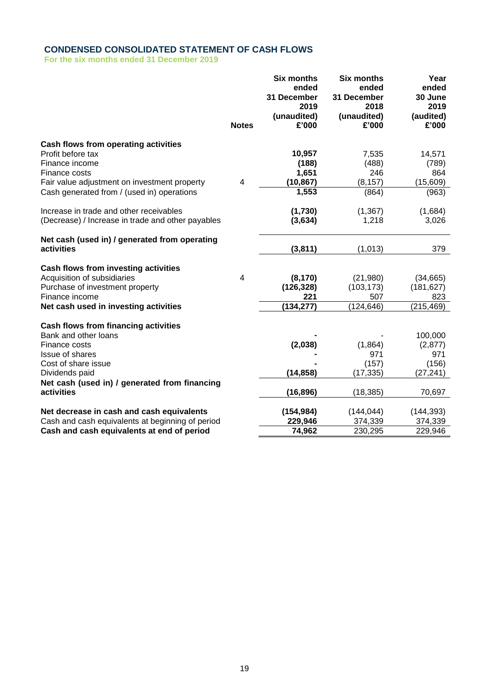## <span id="page-19-0"></span>**CONDENSED CONSOLIDATED STATEMENT OF CASH FLOWS**

**For the six months ended 31 December 2019**

|                                                             | <b>Notes</b> | <b>Six months</b><br>ended<br>31 December<br>2019<br>(unaudited)<br>£'000 | <b>Six months</b><br>ended<br>31 December<br>2018<br>(unaudited)<br>£'000 | Year<br>ended<br>30 June<br>2019<br>(audited)<br>£'000 |
|-------------------------------------------------------------|--------------|---------------------------------------------------------------------------|---------------------------------------------------------------------------|--------------------------------------------------------|
| Cash flows from operating activities                        |              |                                                                           |                                                                           |                                                        |
| Profit before tax                                           |              | 10,957                                                                    | 7,535                                                                     | 14,571                                                 |
| Finance income                                              |              | (188)                                                                     | (488)                                                                     | (789)                                                  |
| Finance costs                                               |              | 1,651                                                                     | 246                                                                       | 864                                                    |
| Fair value adjustment on investment property                | 4            | (10, 867)                                                                 | (8, 157)                                                                  | (15,609)                                               |
| Cash generated from / (used in) operations                  |              | 1,553                                                                     | (864)                                                                     | (963)                                                  |
| Increase in trade and other receivables                     |              | (1,730)                                                                   | (1, 367)                                                                  | (1,684)                                                |
| (Decrease) / Increase in trade and other payables           |              | (3,634)                                                                   | 1,218                                                                     | 3,026                                                  |
| Net cash (used in) / generated from operating<br>activities |              | (3,811)                                                                   | (1,013)                                                                   | 379                                                    |
| Cash flows from investing activities                        |              |                                                                           |                                                                           |                                                        |
| Acquisition of subsidiaries                                 | 4            | (8, 170)                                                                  | (21,980)                                                                  | (34,665)                                               |
| Purchase of investment property                             |              | (126, 328)                                                                | (103, 173)                                                                | (181, 627)                                             |
| Finance income                                              |              | 221                                                                       | 507                                                                       | 823                                                    |
| Net cash used in investing activities                       |              | (134, 277)                                                                | (124, 646)                                                                | (215, 469)                                             |
| <b>Cash flows from financing activities</b>                 |              |                                                                           |                                                                           |                                                        |
| Bank and other loans                                        |              |                                                                           |                                                                           | 100,000                                                |
| Finance costs                                               |              | (2,038)                                                                   | (1,864)                                                                   | (2, 877)                                               |
| Issue of shares                                             |              |                                                                           | 971                                                                       | 971                                                    |
| Cost of share issue                                         |              |                                                                           | (157)                                                                     | (156)                                                  |
| Dividends paid                                              |              | (14, 858)                                                                 | (17, 335)                                                                 | (27, 241)                                              |
| Net cash (used in) / generated from financing<br>activities |              | (16, 896)                                                                 | (18, 385)                                                                 | 70,697                                                 |
| Net decrease in cash and cash equivalents                   |              | (154, 984)                                                                | (144, 044)                                                                | (144, 393)                                             |
| Cash and cash equivalents at beginning of period            |              | 229,946                                                                   | 374,339                                                                   | 374,339                                                |
| Cash and cash equivalents at end of period                  |              | 74,962                                                                    | 230,295                                                                   | 229,946                                                |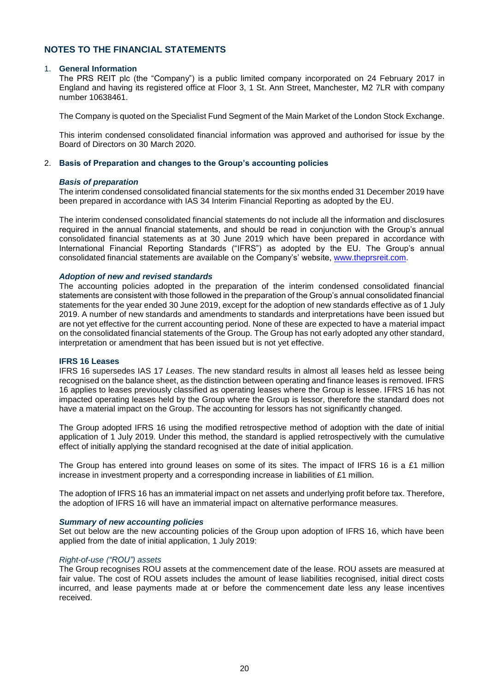### <span id="page-20-0"></span>1. **General Information**

The PRS REIT plc (the "Company") is a public limited company incorporated on 24 February 2017 in England and having its registered office at Floor 3, 1 St. Ann Street, Manchester, M2 7LR with company number 10638461.

The Company is quoted on the Specialist Fund Segment of the Main Market of the London Stock Exchange.

This interim condensed consolidated financial information was approved and authorised for issue by the Board of Directors on 30 March 2020.

### 2. **Basis of Preparation and changes to the Group's accounting policies**

### *Basis of preparation*

The interim condensed consolidated financial statements for the six months ended 31 December 2019 have been prepared in accordance with IAS 34 Interim Financial Reporting as adopted by the EU.

The interim condensed consolidated financial statements do not include all the information and disclosures required in the annual financial statements, and should be read in conjunction with the Group's annual consolidated financial statements as at 30 June 2019 which have been prepared in accordance with International Financial Reporting Standards ("IFRS") as adopted by the EU. The Group's annual consolidated financial statements are available on the Company's' website, [www.theprsreit.com.](http://www.theprsreit.com/)

### *Adoption of new and revised standards*

The accounting policies adopted in the preparation of the interim condensed consolidated financial statements are consistent with those followed in the preparation of the Group's annual consolidated financial statements for the year ended 30 June 2019, except for the adoption of new standards effective as of 1 July 2019. A number of new standards and amendments to standards and interpretations have been issued but are not yet effective for the current accounting period. None of these are expected to have a material impact on the consolidated financial statements of the Group. The Group has not early adopted any other standard, interpretation or amendment that has been issued but is not yet effective.

### **IFRS 16 Leases**

IFRS 16 supersedes IAS 17 *Leases*. The new standard results in almost all leases held as lessee being recognised on the balance sheet, as the distinction between operating and finance leases is removed. IFRS 16 applies to leases previously classified as operating leases where the Group is lessee. IFRS 16 has not impacted operating leases held by the Group where the Group is lessor, therefore the standard does not have a material impact on the Group. The accounting for lessors has not significantly changed.

The Group adopted IFRS 16 using the modified retrospective method of adoption with the date of initial application of 1 July 2019. Under this method, the standard is applied retrospectively with the cumulative effect of initially applying the standard recognised at the date of initial application.

The Group has entered into ground leases on some of its sites. The impact of IFRS 16 is a £1 million increase in investment property and a corresponding increase in liabilities of £1 million.

The adoption of IFRS 16 has an immaterial impact on net assets and underlying profit before tax. Therefore, the adoption of IFRS 16 will have an immaterial impact on alternative performance measures.

### *Summary of new accounting policies*

Set out below are the new accounting policies of the Group upon adoption of IFRS 16, which have been applied from the date of initial application, 1 July 2019:

### *Right-of-use ("ROU") assets*

The Group recognises ROU assets at the commencement date of the lease. ROU assets are measured at fair value. The cost of ROU assets includes the amount of lease liabilities recognised, initial direct costs incurred, and lease payments made at or before the commencement date less any lease incentives received.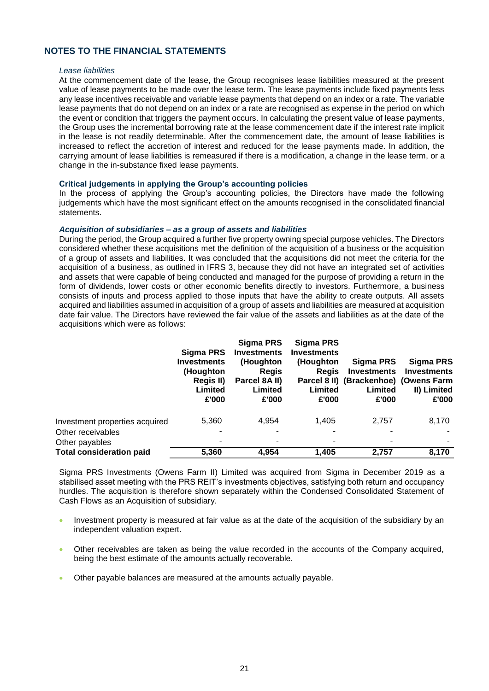#### *Lease liabilities*

At the commencement date of the lease, the Group recognises lease liabilities measured at the present value of lease payments to be made over the lease term. The lease payments include fixed payments less any lease incentives receivable and variable lease payments that depend on an index or a rate. The variable lease payments that do not depend on an index or a rate are recognised as expense in the period on which the event or condition that triggers the payment occurs. In calculating the present value of lease payments, the Group uses the incremental borrowing rate at the lease commencement date if the interest rate implicit in the lease is not readily determinable. After the commencement date, the amount of lease liabilities is increased to reflect the accretion of interest and reduced for the lease payments made. In addition, the carrying amount of lease liabilities is remeasured if there is a modification, a change in the lease term, or a change in the in-substance fixed lease payments.

### **Critical judgements in applying the Group's accounting policies**

In the process of applying the Group's accounting policies, the Directors have made the following judgements which have the most significant effect on the amounts recognised in the consolidated financial statements.

#### *Acquisition of subsidiaries – as a group of assets and liabilities*

During the period, the Group acquired a further five property owning special purpose vehicles. The Directors considered whether these acquisitions met the definition of the acquisition of a business or the acquisition of a group of assets and liabilities. It was concluded that the acquisitions did not meet the criteria for the acquisition of a business, as outlined in IFRS 3, because they did not have an integrated set of activities and assets that were capable of being conducted and managed for the purpose of providing a return in the form of dividends, lower costs or other economic benefits directly to investors. Furthermore, a business consists of inputs and process applied to those inputs that have the ability to create outputs. All assets acquired and liabilities assumed in acquisition of a group of assets and liabilities are measured at acquisition date fair value. The Directors have reviewed the fair value of the assets and liabilities as at the date of the acquisitions which were as follows:

|                                 | Sigma PRS<br><b>Investments</b><br>(Houghton<br>Regis II)<br>Limited<br>£'000 | Sigma PRS<br><b>Investments</b><br>(Houghton<br><b>Regis</b><br>Parcel 8A II)<br>Limited<br>£'000 | Sigma PRS<br><b>Investments</b><br>(Houghton<br><b>Regis</b><br>Limited<br>£'000 | Sigma PRS<br><b>Investments</b><br>Parcel 8 II) (Brackenhoe) (Owens Farm<br>Limited<br>£'000 | Sigma PRS<br><b>Investments</b><br>II) Limited<br>£'000 |
|---------------------------------|-------------------------------------------------------------------------------|---------------------------------------------------------------------------------------------------|----------------------------------------------------------------------------------|----------------------------------------------------------------------------------------------|---------------------------------------------------------|
| Investment properties acquired  | 5,360                                                                         | 4.954                                                                                             | 1,405                                                                            | 2,757                                                                                        | 8,170                                                   |
| Other receivables               |                                                                               |                                                                                                   |                                                                                  |                                                                                              |                                                         |
| Other payables                  |                                                                               |                                                                                                   |                                                                                  |                                                                                              |                                                         |
| <b>Total consideration paid</b> | 5,360                                                                         | 4,954                                                                                             | 1,405                                                                            | 2,757                                                                                        | 8,170                                                   |

Sigma PRS Investments (Owens Farm II) Limited was acquired from Sigma in December 2019 as a stabilised asset meeting with the PRS REIT's investments objectives, satisfying both return and occupancy hurdles. The acquisition is therefore shown separately within the Condensed Consolidated Statement of Cash Flows as an Acquisition of subsidiary.

- Investment property is measured at fair value as at the date of the acquisition of the subsidiary by an independent valuation expert.
- Other receivables are taken as being the value recorded in the accounts of the Company acquired, being the best estimate of the amounts actually recoverable.
- Other payable balances are measured at the amounts actually payable.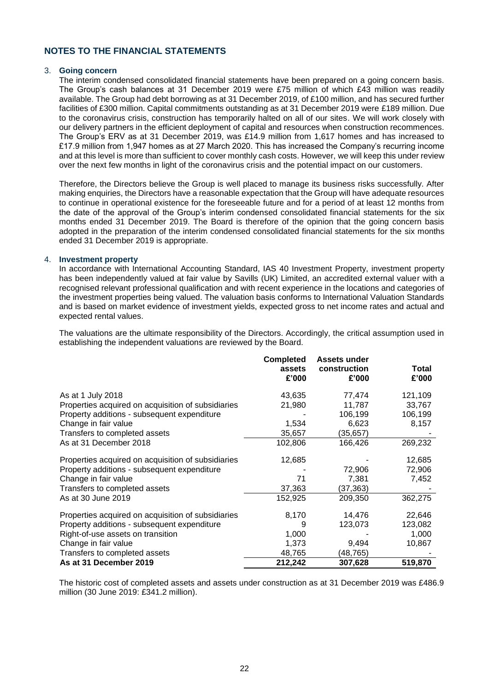### 3. **Going concern**

The interim condensed consolidated financial statements have been prepared on a going concern basis. The Group's cash balances at 31 December 2019 were £75 million of which £43 million was readily available. The Group had debt borrowing as at 31 December 2019, of £100 million, and has secured further facilities of £300 million. Capital commitments outstanding as at 31 December 2019 were £189 million. Due to the coronavirus crisis, construction has temporarily halted on all of our sites. We will work closely with our delivery partners in the efficient deployment of capital and resources when construction recommences. The Group's ERV as at 31 December 2019, was £14.9 million from 1,617 homes and has increased to £17.9 million from 1,947 homes as at 27 March 2020. This has increased the Company's recurring income and at this level is more than sufficient to cover monthly cash costs. However, we will keep this under review over the next few months in light of the coronavirus crisis and the potential impact on our customers.

Therefore, the Directors believe the Group is well placed to manage its business risks successfully. After making enquiries, the Directors have a reasonable expectation that the Group will have adequate resources to continue in operational existence for the foreseeable future and for a period of at least 12 months from the date of the approval of the Group's interim condensed consolidated financial statements for the six months ended 31 December 2019. The Board is therefore of the opinion that the going concern basis adopted in the preparation of the interim condensed consolidated financial statements for the six months ended 31 December 2019 is appropriate.

## <span id="page-22-0"></span>4. **Investment property**

In accordance with International Accounting Standard, IAS 40 Investment Property, investment property has been independently valued at fair value by Savills (UK) Limited, an accredited external valuer with a recognised relevant professional qualification and with recent experience in the locations and categories of the investment properties being valued. The valuation basis conforms to International Valuation Standards and is based on market evidence of investment yields, expected gross to net income rates and actual and expected rental values.

The valuations are the ultimate responsibility of the Directors. Accordingly, the critical assumption used in establishing the independent valuations are reviewed by the Board.

|                                                    | <b>Completed</b> | Assets under |         |
|----------------------------------------------------|------------------|--------------|---------|
|                                                    | assets           | construction | Total   |
|                                                    | £'000            | £'000        | £'000   |
| As at 1 July 2018                                  | 43,635           | 77,474       | 121,109 |
| Properties acquired on acquisition of subsidiaries | 21,980           | 11,787       | 33,767  |
| Property additions - subsequent expenditure        |                  | 106,199      | 106,199 |
| Change in fair value                               | 1,534            | 6,623        | 8,157   |
| Transfers to completed assets                      | 35,657           | (35, 657)    |         |
| As at 31 December 2018                             | 102,806          | 166,426      | 269,232 |
| Properties acquired on acquisition of subsidiaries | 12,685           |              | 12,685  |
| Property additions - subsequent expenditure        |                  | 72,906       | 72,906  |
| Change in fair value                               | 71               | 7,381        | 7,452   |
| Transfers to completed assets                      | 37,363           | (37, 363)    |         |
| As at 30 June 2019                                 | 152,925          | 209,350      | 362,275 |
| Properties acquired on acquisition of subsidiaries | 8,170            | 14,476       | 22,646  |
| Property additions - subsequent expenditure        | 9                | 123,073      | 123,082 |
| Right-of-use assets on transition                  | 1,000            |              | 1,000   |
| Change in fair value                               | 1,373            | 9,494        | 10,867  |
| Transfers to completed assets                      | 48,765           | (48,765)     |         |
| As at 31 December 2019                             | 212,242          | 307,628      | 519,870 |

The historic cost of completed assets and assets under construction as at 31 December 2019 was £486.9 million (30 June 2019: £341.2 million).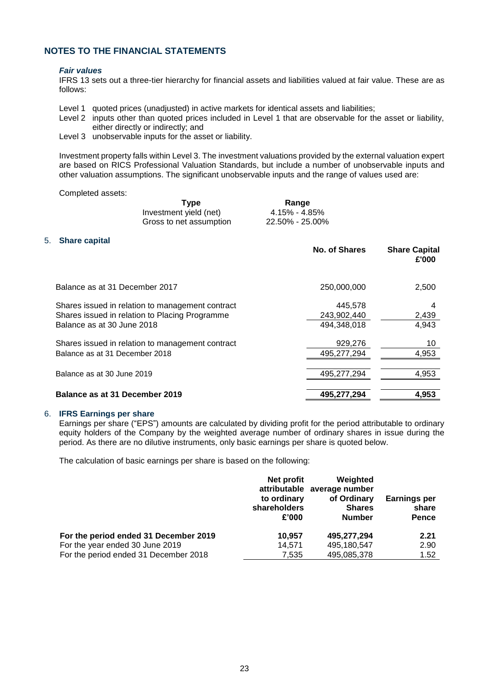#### *Fair values*

IFRS 13 sets out a three-tier hierarchy for financial assets and liabilities valued at fair value. These are as follows:

- Level 1 quoted prices (unadjusted) in active markets for identical assets and liabilities;
- Level 2 inputs other than quoted prices included in Level 1 that are observable for the asset or liability, either directly or indirectly; and
- Level 3 unobservable inputs for the asset or liability.

Investment property falls within Level 3. The investment valuations provided by the external valuation expert are based on RICS Professional Valuation Standards, but include a number of unobservable inputs and other valuation assumptions. The significant unobservable inputs and the range of values used are:

#### Completed assets:

| Type                    | Range           |  |
|-------------------------|-----------------|--|
| Investment yield (net)  | 4.15% - 4.85%   |  |
| Gross to net assumption | 22.50% - 25.00% |  |

## <span id="page-23-1"></span>5. **Share capital**

|                                                                                                                                  | <b>No. of Shares</b>                  | <b>Share Capital</b><br>£'000 |  |
|----------------------------------------------------------------------------------------------------------------------------------|---------------------------------------|-------------------------------|--|
| Balance as at 31 December 2017                                                                                                   | 250,000,000                           | 2,500                         |  |
| Shares issued in relation to management contract<br>Shares issued in relation to Placing Programme<br>Balance as at 30 June 2018 | 445,578<br>243.902.440<br>494,348,018 | 2,439<br>4,943                |  |
| Shares issued in relation to management contract<br>Balance as at 31 December 2018                                               | 929,276<br>495,277,294                | 10<br>4,953                   |  |
| Balance as at 30 June 2019                                                                                                       | 495,277,294                           | 4,953                         |  |
| Balance as at 31 December 2019                                                                                                   | 495,277,294                           | 4,953                         |  |

#### <span id="page-23-0"></span>6. **IFRS Earnings per share**

Earnings per share ("EPS") amounts are calculated by dividing profit for the period attributable to ordinary equity holders of the Company by the weighted average number of ordinary shares in issue during the period. As there are no dilutive instruments, only basic earnings per share is quoted below.

The calculation of basic earnings per share is based on the following:

|                                       | Net profit<br>to ordinary<br>shareholders<br>£'000 | Weighted<br>attributable average number<br>of Ordinary<br><b>Shares</b><br><b>Number</b> | <b>Earnings per</b><br>share<br><b>Pence</b> |
|---------------------------------------|----------------------------------------------------|------------------------------------------------------------------------------------------|----------------------------------------------|
| For the period ended 31 December 2019 | 10.957                                             | 495,277,294                                                                              | 2.21                                         |
| For the year ended 30 June 2019       | 14.571                                             | 495,180,547                                                                              | 2.90                                         |
| For the period ended 31 December 2018 | 7,535                                              | 495,085,378                                                                              | 1.52                                         |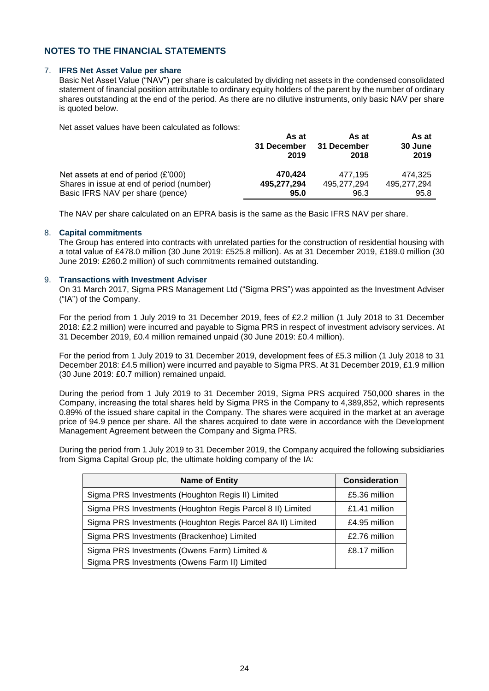### <span id="page-24-0"></span>7. **IFRS Net Asset Value per share**

Basic Net Asset Value ("NAV") per share is calculated by dividing net assets in the condensed consolidated statement of financial position attributable to ordinary equity holders of the parent by the number of ordinary shares outstanding at the end of the period. As there are no dilutive instruments, only basic NAV per share is quoted below.

Net asset values have been calculated as follows:

|                                           | As at<br>31 December<br>2019 | As at<br>31 December<br>2018 | As at<br>30 June<br>2019 |
|-------------------------------------------|------------------------------|------------------------------|--------------------------|
| Net assets at end of period $(E'000)$     | 470.424                      | 477.195                      | 474.325                  |
| Shares in issue at end of period (number) | 495,277,294                  | 495.277.294                  | 495,277,294              |
| Basic IFRS NAV per share (pence)          | 95.0                         | 96.3                         | 95.8                     |

The NAV per share calculated on an EPRA basis is the same as the Basic IFRS NAV per share.

## 8. **Capital commitments**

The Group has entered into contracts with unrelated parties for the construction of residential housing with a total value of £478.0 million (30 June 2019: £525.8 million). As at 31 December 2019, £189.0 million (30 June 2019: £260.2 million) of such commitments remained outstanding.

## 9. **Transactions with Investment Adviser**

On 31 March 2017, Sigma PRS Management Ltd ("Sigma PRS") was appointed as the Investment Adviser ("IA") of the Company.

For the period from 1 July 2019 to 31 December 2019, fees of £2.2 million (1 July 2018 to 31 December 2018: £2.2 million) were incurred and payable to Sigma PRS in respect of investment advisory services. At 31 December 2019, £0.4 million remained unpaid (30 June 2019: £0.4 million).

For the period from 1 July 2019 to 31 December 2019, development fees of £5.3 million (1 July 2018 to 31 December 2018: £4.5 million) were incurred and payable to Sigma PRS. At 31 December 2019, £1.9 million (30 June 2019: £0.7 million) remained unpaid.

During the period from 1 July 2019 to 31 December 2019, Sigma PRS acquired 750,000 shares in the Company, increasing the total shares held by Sigma PRS in the Company to 4,389,852, which represents 0.89% of the issued share capital in the Company. The shares were acquired in the market at an average price of 94.9 pence per share. All the shares acquired to date were in accordance with the Development Management Agreement between the Company and Sigma PRS.

During the period from 1 July 2019 to 31 December 2019, the Company acquired the following subsidiaries from Sigma Capital Group plc, the ultimate holding company of the IA:

| <b>Name of Entity</b>                                       | <b>Consideration</b> |  |
|-------------------------------------------------------------|----------------------|--|
| Sigma PRS Investments (Houghton Regis II) Limited           | £5.36 million        |  |
| Sigma PRS Investments (Houghton Regis Parcel 8 II) Limited  | £1.41 million        |  |
| Sigma PRS Investments (Houghton Regis Parcel 8A II) Limited | £4.95 million        |  |
| Sigma PRS Investments (Brackenhoe) Limited                  | £2.76 million        |  |
| Sigma PRS Investments (Owens Farm) Limited &                | £8.17 million        |  |
| Sigma PRS Investments (Owens Farm II) Limited               |                      |  |